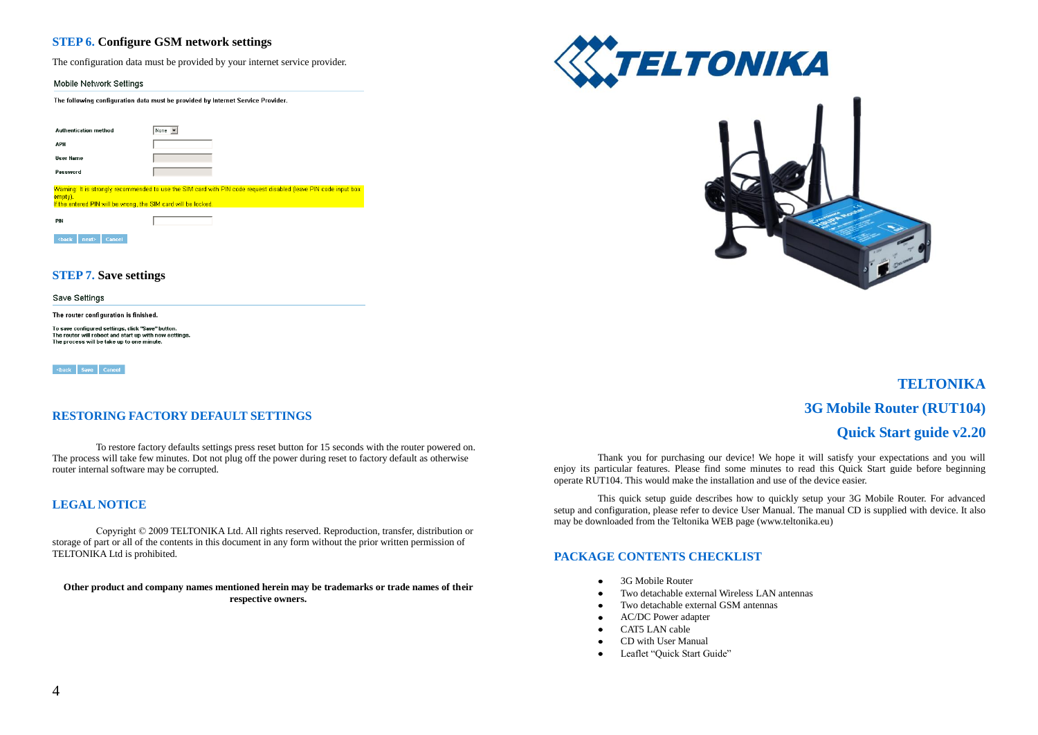### **STEP 6. Configure GSM network settings**

The configuration data must be provided by your internet service provider.

### Mobile Network Settings

The following configuration data must be provided by Internet Service Provider.

| <b>Authentication method</b>                                              | None $\blacktriangledown$                                                                                        |
|---------------------------------------------------------------------------|------------------------------------------------------------------------------------------------------------------|
| APN                                                                       |                                                                                                                  |
| <b>User Name</b>                                                          |                                                                                                                  |
| Password                                                                  |                                                                                                                  |
| empty).<br>If the entered PIN will be wrong, the SIM card will be locked. | Warning: It is strongly recommended to use the SIM card with PIN code request disabled (leave PIN code input box |
| PIN                                                                       |                                                                                                                  |
| <back<br>next<br/>Cancel</back<br>                                        |                                                                                                                  |

### **STEP 7. Save settings**

Save Settings

The router configuration is finished.

To save configured settings, click "Save" button. The router will reboot and start up with new settings. The process will be take up to one minute.

**Kback** Save Cancel

## **RESTORING FACTORY DEFAULT SETTINGS**

To restore factory defaults settings press reset button for 15 seconds with the router powered on. The process will take few minutes. Dot not plug off the power during reset to factory default as otherwise router internal software may be corrupted.

### **LEGAL NOTICE**

Copyright © 2009 TELTONIKA Ltd. All rights reserved. Reproduction, transfer, distribution or storage of part or all of the contents in this document in any form without the prior written permission of TELTONIKA Ltd is prohibited.

### **Other product and company names mentioned herein may be trademarks or trade names of their respective owners.**



# **TELTONIKA 3G Mobile Router (RUT104)**

# **Quick Start guide v2.20**

Thank you for purchasing our device! We hope it will satisfy your expectations and you will enjoy its particular features. Please find some minutes to read this Quick Start guide before beginning operate RUT104. This would make the installation and use of the device easier.

This quick setup guide describes how to quickly setup your 3G Mobile Router. For advanced setup and configuration, please refer to device User Manual. The manual CD is supplied with device. It also may be downloaded from the Teltonika WEB page [\(www.teltonika.eu\)](http://www.teltonika.eu/)

## **PACKAGE CONTENTS CHECKLIST**

- $\bullet$ 3G Mobile Router
- Two detachable external Wireless LAN antennas
- Two detachable external GSM antennas
- AC/DC Power adapter  $\bullet$
- CAT5 LAN cable
- CD with User Manual
- Leaflet "Quick Start Guide" $\bullet$